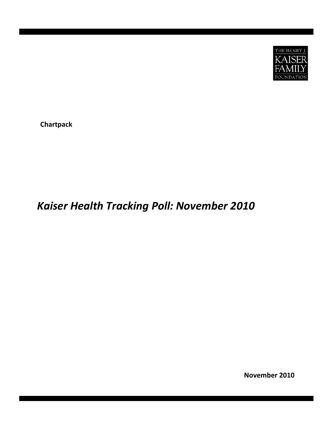

**Chartpack**

# *Kaiser Health Tracking Poll: November 2010*

**November 2010**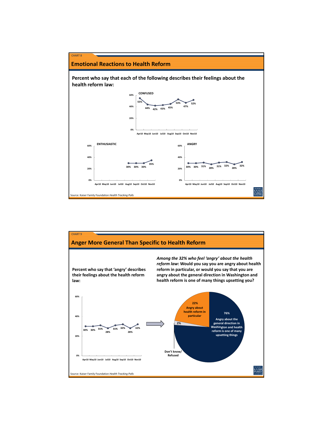

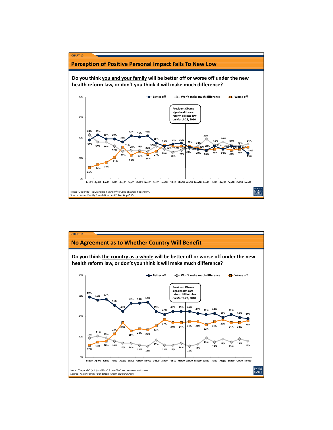

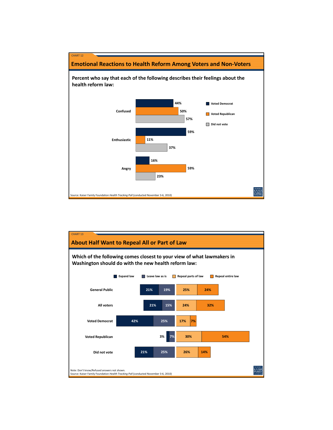

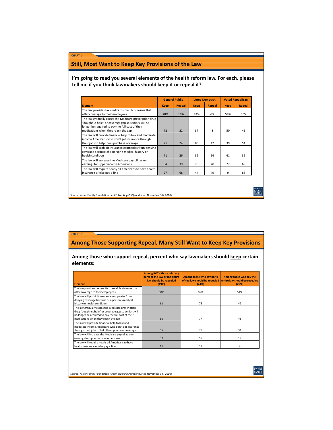## **Still, Most Want to Keep Key Provisions of the Law**

CHART 14

CHART 15

**I'm going to read you several elements of the health reform law. For each, please tell me if you think lawmakers should keep it or repeal it?**

|                                                                                                                                                                                                          | <b>General Public</b> |        | <b>Voted Democrat</b> |        | <b>Voted Republican</b> |        |
|----------------------------------------------------------------------------------------------------------------------------------------------------------------------------------------------------------|-----------------------|--------|-----------------------|--------|-------------------------|--------|
| <b>Element</b>                                                                                                                                                                                           | <b>Keep</b>           | Repeal | <b>Keep</b>           | Repeal | <b>Keep</b>             | Repeal |
| The law provides tax credits to small businesses that<br>offer coverage to their employees                                                                                                               | 78%                   | 18%    | 92%                   | 6%     | 59%                     | 36%    |
| The law gradually closes the Medicare prescription drug<br>"doughnut hole" or coverage gap so seniors will no<br>longer be required to pay the full cost of their<br>medications when they reach the gap | 72                    | 22     | 87                    | 8      | 50                      | 41     |
| The law will provide financial help to low and moderate<br>income Americans who don't get insurance through<br>their jobs to help them purchase coverage                                                 | 71                    | 24     | 85                    | 12     | 39                      | 54     |
| The law will prohibit insurance companies from denying<br>coverage because of a person's medical history or<br>health condition                                                                          | 71                    | 26     | 82                    | 16     | 61                      | 35     |
| The law will increase the Medicare payroll tax on<br>earnings for upper income Americans                                                                                                                 | 54                    | 39     | 75                    | 20     | 27                      | 69     |
| The law will require nearly all Americans to have health<br>insurance or else pay a fine                                                                                                                 | 27                    | 68     | 44                    | 49     | 9                       | 88     |

Source: Kaiser Family Foundation *Health Tracking Poll* (conducted November 3‐6, 2010)

## **Among Those Supporting Repeal, Many Still Want to Keep Key Provisions**

**Among those who support repeal, percent who say lawmakers should keep certain elements:**

| <b>Element</b>                                                                                                                                                                                           | Among BOTH those who say<br>parts of the law or the entire<br>law should be repealed<br>(49%) | Among those who say parts<br>of the law should be repealed<br>(25%) | Among those who say the<br>entire law should be repealed<br>(24%) |
|----------------------------------------------------------------------------------------------------------------------------------------------------------------------------------------------------------|-----------------------------------------------------------------------------------------------|---------------------------------------------------------------------|-------------------------------------------------------------------|
| The law provides tax credits to small businesses that<br>offer coverage to their employees                                                                                                               | 68%                                                                                           | 85%                                                                 | 51%                                                               |
| The law will prohibit insurance companies from<br>denying coverage because of a person's medical<br>history or health condition                                                                          | 62                                                                                            | 75                                                                  | 49                                                                |
| The law gradually closes the Medicare prescription<br>drug "doughnut hole" or coverage gap so seniors will<br>no longer be required to pay the full cost of their<br>medications when they reach the gap | 60                                                                                            | 77                                                                  | 43                                                                |
| The law will provide financial help to low and<br>moderate income Americans who don't get insurance<br>through their jobs to help them purchase coverage                                                 | 55                                                                                            | 78                                                                  | 31                                                                |
| The law will increase the Medicare payroll tax on<br>earnings for upper income Americans                                                                                                                 | 37                                                                                            | 55                                                                  | 19                                                                |
| The law will require nearly all Americans to have<br>health insurance or else pay a fine                                                                                                                 | 11                                                                                            | 19                                                                  | 4                                                                 |

Source: Kaiser Family Foundation *Health Tracking Poll* (conducted November 3‐6, 2010)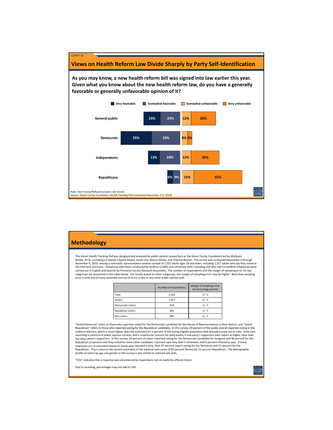

| <b>Methodology</b>                                                                                                                                                                                                                                                                                                                                                                                                                                                                                                                                                                                                                                                                                                                                                                                                                                                                                                                                                                                          |                                                                                                                                                                                                                                                                                                                                                                                                                                                                                                                                                                                                                                                                                                                                                                                                                                                                                                                                                                                                                                                                                                                                                                                                                                                                                                                            |                       |                                                    |  |  |  |  |  |
|-------------------------------------------------------------------------------------------------------------------------------------------------------------------------------------------------------------------------------------------------------------------------------------------------------------------------------------------------------------------------------------------------------------------------------------------------------------------------------------------------------------------------------------------------------------------------------------------------------------------------------------------------------------------------------------------------------------------------------------------------------------------------------------------------------------------------------------------------------------------------------------------------------------------------------------------------------------------------------------------------------------|----------------------------------------------------------------------------------------------------------------------------------------------------------------------------------------------------------------------------------------------------------------------------------------------------------------------------------------------------------------------------------------------------------------------------------------------------------------------------------------------------------------------------------------------------------------------------------------------------------------------------------------------------------------------------------------------------------------------------------------------------------------------------------------------------------------------------------------------------------------------------------------------------------------------------------------------------------------------------------------------------------------------------------------------------------------------------------------------------------------------------------------------------------------------------------------------------------------------------------------------------------------------------------------------------------------------------|-----------------------|----------------------------------------------------|--|--|--|--|--|
| This Kaiser Health Tracking Poll was designed and analyzed by public opinion researchers at the Kaiser Family Foundation led by Mollyann<br>Brodie, Ph.D., including Liz Hamel, Claudia Deane, Sarah Cho, Bianca DiJulio, and Theresa Boston. The survey was conducted November 3 through<br>November 6, 2010, among a nationally representative random sample of 1,502 adults ages 18 and older, including 1,017 adults who say they voted in<br>the mid-term elections. Telephone interviews conducted by landline (1,000) and cell phone (502, including 252 who had no landline telephone) were<br>carried out in English and Spanish by Princeton Survey Research Associates. The number of respondents and the margin of sampling error for key<br>subgroups are presented in the table below. For results based on other subgroups, the margin of sampling error may be higher. Note that sampling<br>error is only one of many potential sources of error in this or any other public opinion poll. |                                                                                                                                                                                                                                                                                                                                                                                                                                                                                                                                                                                                                                                                                                                                                                                                                                                                                                                                                                                                                                                                                                                                                                                                                                                                                                                            |                       |                                                    |  |  |  |  |  |
|                                                                                                                                                                                                                                                                                                                                                                                                                                                                                                                                                                                                                                                                                                                                                                                                                                                                                                                                                                                                             |                                                                                                                                                                                                                                                                                                                                                                                                                                                                                                                                                                                                                                                                                                                                                                                                                                                                                                                                                                                                                                                                                                                                                                                                                                                                                                                            | Number of respondents | Margin of sampling error<br>(in percentage points) |  |  |  |  |  |
|                                                                                                                                                                                                                                                                                                                                                                                                                                                                                                                                                                                                                                                                                                                                                                                                                                                                                                                                                                                                             | Total                                                                                                                                                                                                                                                                                                                                                                                                                                                                                                                                                                                                                                                                                                                                                                                                                                                                                                                                                                                                                                                                                                                                                                                                                                                                                                                      | 1,502                 | $+/-3$                                             |  |  |  |  |  |
|                                                                                                                                                                                                                                                                                                                                                                                                                                                                                                                                                                                                                                                                                                                                                                                                                                                                                                                                                                                                             | Voters                                                                                                                                                                                                                                                                                                                                                                                                                                                                                                                                                                                                                                                                                                                                                                                                                                                                                                                                                                                                                                                                                                                                                                                                                                                                                                                     | 1,017                 | $+/-3$                                             |  |  |  |  |  |
|                                                                                                                                                                                                                                                                                                                                                                                                                                                                                                                                                                                                                                                                                                                                                                                                                                                                                                                                                                                                             | Democratic voters                                                                                                                                                                                                                                                                                                                                                                                                                                                                                                                                                                                                                                                                                                                                                                                                                                                                                                                                                                                                                                                                                                                                                                                                                                                                                                          | 418                   | $+/- 5$                                            |  |  |  |  |  |
|                                                                                                                                                                                                                                                                                                                                                                                                                                                                                                                                                                                                                                                                                                                                                                                                                                                                                                                                                                                                             | Republican voters                                                                                                                                                                                                                                                                                                                                                                                                                                                                                                                                                                                                                                                                                                                                                                                                                                                                                                                                                                                                                                                                                                                                                                                                                                                                                                          | 481                   | $+/- 5$                                            |  |  |  |  |  |
|                                                                                                                                                                                                                                                                                                                                                                                                                                                                                                                                                                                                                                                                                                                                                                                                                                                                                                                                                                                                             | Non-voters                                                                                                                                                                                                                                                                                                                                                                                                                                                                                                                                                                                                                                                                                                                                                                                                                                                                                                                                                                                                                                                                                                                                                                                                                                                                                                                 | 485                   | $+/- 5$                                            |  |  |  |  |  |
|                                                                                                                                                                                                                                                                                                                                                                                                                                                                                                                                                                                                                                                                                                                                                                                                                                                                                                                                                                                                             | "Voted Democrat" refers to those who said they voted for the Democratic candidate for the House of Representatives in their district, and "Voted<br>Republican" refers to those who reported voting for the Republican candidate. In this survey, 59 percent of the public overall reported voting in the<br>midterm election, which is much higher than the estimated 41.5 percent of the voting-eligible population that actually turned out to vote. Vote over-<br>reporting is common in public opinion surveys, and is a particular concern for data quality if one party's supporters over-report at higher rates than<br>the other party's supporters. In this survey, 43 percent of voters reported voting for the Democratic candidate for Congress and 46 percent for the<br>Republican (2 percent said they voted for some other candidate, 3 percent said they didn't remember, and 6 percent refused to say). If these<br>responses are re-calculated based on those who reported a vote, then 47 percent report voting for the Democrat and 51 percent for the<br>Republican. This is close to the current estimates of the national vote count of 45 percent Democrat, 52 percent Republican. The demographic<br>profile of voters by age and gender in this survey is also similar to national exit polls. |                       |                                                    |  |  |  |  |  |

"VOL" indicates that a response was volunteered by respondent, not an explicitly offered choice.

Due to rounding, percentages may not add to 100.